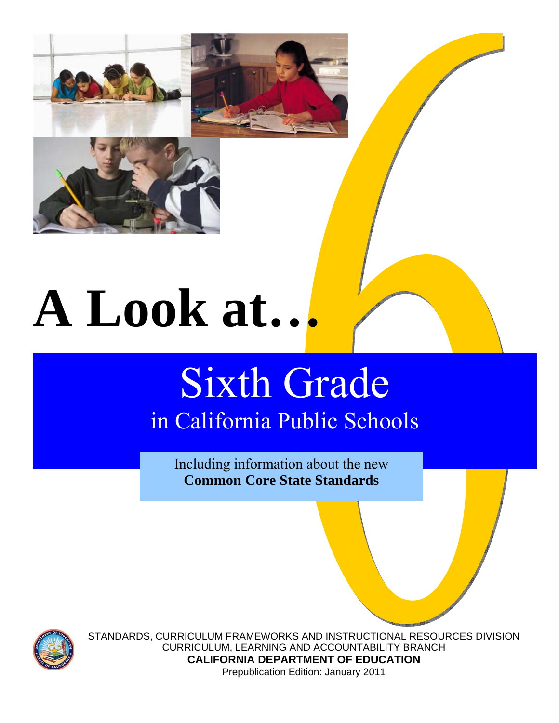

# **A Look at…**

# Sixth Grade in California Public Schools

Including information about the new **Common Core State Standards**



STANDARDS, CURRICULUM FRAMEWORKS AND INSTRUCTIONAL RESOURCES DIVISION CURRICULUM, LEARNING AND ACCOUNTABILITY BRANCH **CALIFORNIA DEPARTMENT OF EDUCATION**  Prepublication Edition: January 2011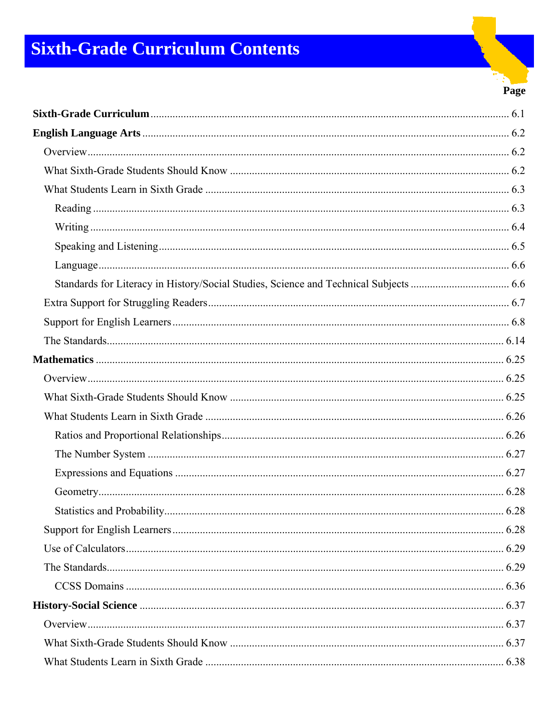# **Sixth-Grade Curriculum Contents**

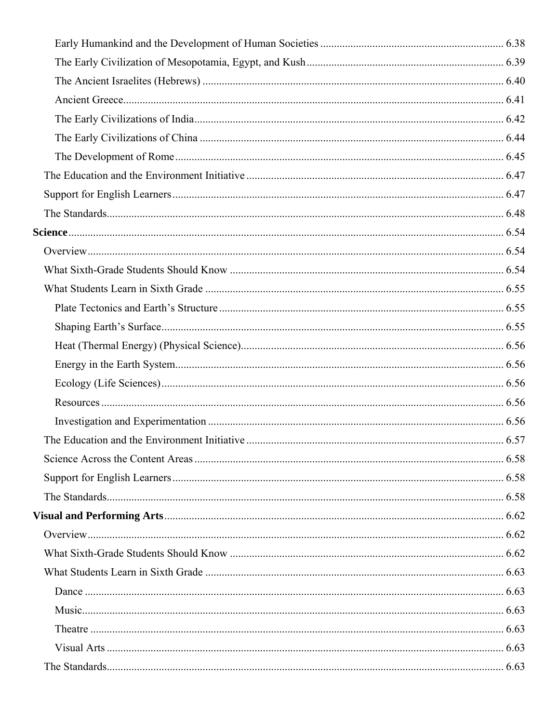| The Education and the Environment Initiative | 6.57 |
|----------------------------------------------|------|
|                                              |      |
|                                              |      |
|                                              |      |
|                                              |      |
|                                              |      |
|                                              |      |
|                                              |      |
|                                              |      |
|                                              |      |
|                                              |      |
|                                              |      |
|                                              |      |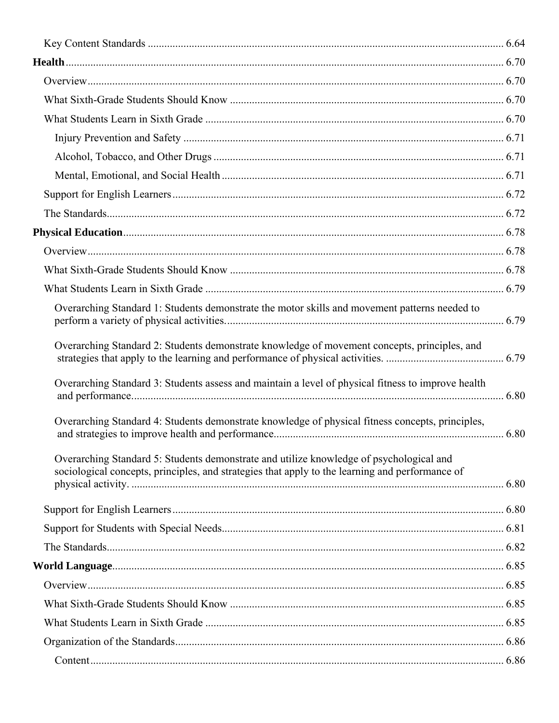| Overarching Standard 1: Students demonstrate the motor skills and movement patterns needed to                                                                                              |  |
|--------------------------------------------------------------------------------------------------------------------------------------------------------------------------------------------|--|
| Overarching Standard 2: Students demonstrate knowledge of movement concepts, principles, and                                                                                               |  |
| Overarching Standard 3: Students assess and maintain a level of physical fitness to improve health                                                                                         |  |
| Overarching Standard 4: Students demonstrate knowledge of physical fitness concepts, principles,                                                                                           |  |
| Overarching Standard 5: Students demonstrate and utilize knowledge of psychological and<br>sociological concepts, principles, and strategies that apply to the learning and performance of |  |
|                                                                                                                                                                                            |  |
|                                                                                                                                                                                            |  |
|                                                                                                                                                                                            |  |
|                                                                                                                                                                                            |  |
|                                                                                                                                                                                            |  |
|                                                                                                                                                                                            |  |
|                                                                                                                                                                                            |  |
|                                                                                                                                                                                            |  |
|                                                                                                                                                                                            |  |
|                                                                                                                                                                                            |  |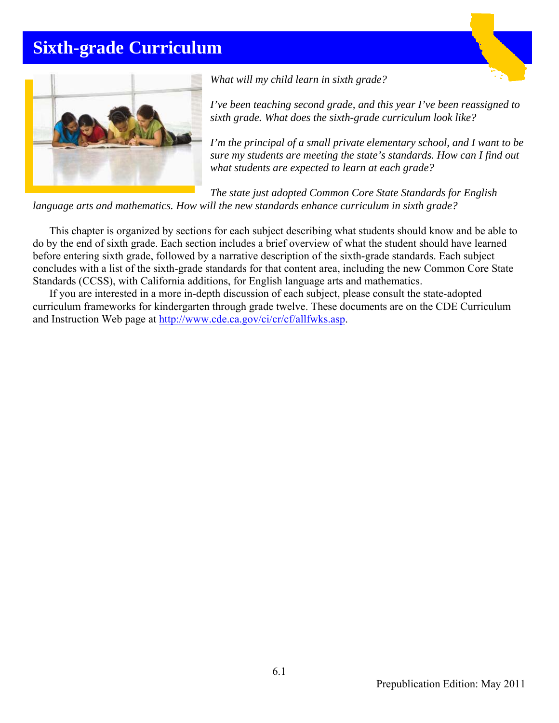## **Sixth-grade Curriculum**



*What will my child learn in sixth grade?* 

*I've been teaching second grade, and this year I've been reassigned to sixth grade. What does the sixth-grade curriculum look like?* 

*I'm the principal of a small private elementary school, and I want to be sure my students are meeting the state's standards. How can I find out what students are expected to learn at each grade?* 

*The state just adopted Common Core State Standards for English language arts and mathematics. How will the new standards enhance curriculum in sixth grade?* 

This chapter is organized by sections for each subject describing what students should know and be able to do by the end of sixth grade. Each section includes a brief overview of what the student should have learned before entering sixth grade, followed by a narrative description of the sixth-grade standards. Each subject concludes with a list of the sixth-grade standards for that content area, including the new Common Core State Standards (CCSS), with California additions, for English language arts and mathematics.

If you are interested in a more in-depth discussion of each subject, please consult the state-adopted curriculum frameworks for kindergarten through grade twelve. These documents are on the CDE Curriculum and Instruction Web page at http://www.cde.ca.gov/ci/cr/cf/allfwks.asp.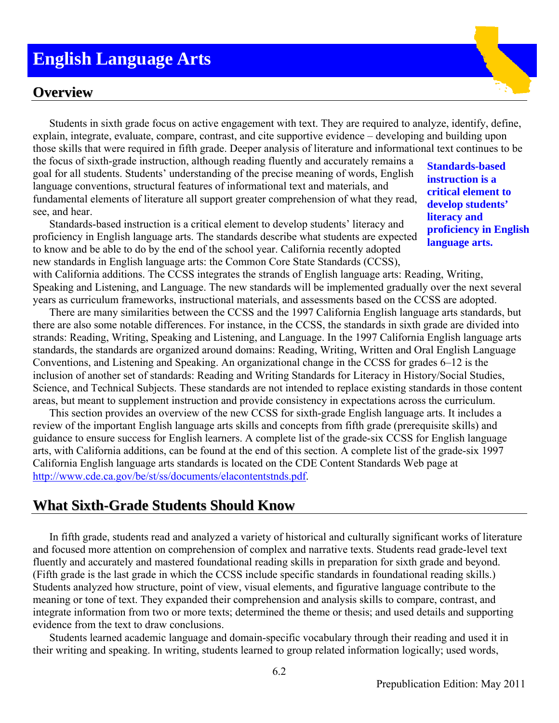### **English Language Arts**

#### **Overview**

Students in sixth grade focus on active engagement with text. They are required to analyze, identify, define, explain, integrate, evaluate, compare, contrast, and cite supportive evidence – developing and building upon those skills that were required in fifth grade. Deeper analysis of literature and informational text continues to be

the focus of sixth-grade instruction, although reading fluently and accurately remains a goal for all students. Students' understanding of the precise meaning of words, English language conventions, structural features of informational text and materials, and fundamental elements of literature all support greater comprehension of what they read, see, and hear.

Standards-based instruction is a critical element to develop students' literacy and proficiency in English language arts. The standards describe what students are expected to know and be able to do by the end of the school year. California recently adopted new standards in English language arts: the Common Core State Standards (CCSS),

**Standards-based instruction is a critical element to develop students' literacy and proficiency in English language arts.**

with California additions. The CCSS integrates the strands of English language arts: Reading, Writing, Speaking and Listening, and Language. The new standards will be implemented gradually over the next several years as curriculum frameworks, instructional materials, and assessments based on the CCSS are adopted.

There are many similarities between the CCSS and the 1997 California English language arts standards, but there are also some notable differences. For instance, in the CCSS, the standards in sixth grade are divided into strands: Reading, Writing, Speaking and Listening, and Language. In the 1997 California English language arts standards, the standards are organized around domains: Reading, Writing, Written and Oral English Language Conventions, and Listening and Speaking. An organizational change in the CCSS for grades 6–12 is the inclusion of another set of standards: Reading and Writing Standards for Literacy in History/Social Studies, Science, and Technical Subjects. These standards are not intended to replace existing standards in those content areas, but meant to supplement instruction and provide consistency in expectations across the curriculum.

This section provides an overview of the new CCSS for sixth-grade English language arts. It includes a review of the important English language arts skills and concepts from fifth grade (prerequisite skills) and guidance to ensure success for English learners. A complete list of the grade-six CCSS for English language arts, with California additions, can be found at the end of this section. A complete list of the grade-six 1997 California English language arts standards is located on the CDE Content Standards Web page at http://www.cde.ca.gov/be/st/ss/documents/elacontentstnds.pdf.

#### **What Sixth-Grade Students Should Know**

In fifth grade, students read and analyzed a variety of historical and culturally significant works of literature and focused more attention on comprehension of complex and narrative texts. Students read grade-level text fluently and accurately and mastered foundational reading skills in preparation for sixth grade and beyond. (Fifth grade is the last grade in which the CCSS include specific standards in foundational reading skills.) Students analyzed how structure, point of view, visual elements, and figurative language contribute to the meaning or tone of text. They expanded their comprehension and analysis skills to compare, contrast, and integrate information from two or more texts; determined the theme or thesis; and used details and supporting evidence from the text to draw conclusions.

Students learned academic language and domain-specific vocabulary through their reading and used it in their writing and speaking. In writing, students learned to group related information logically; used words,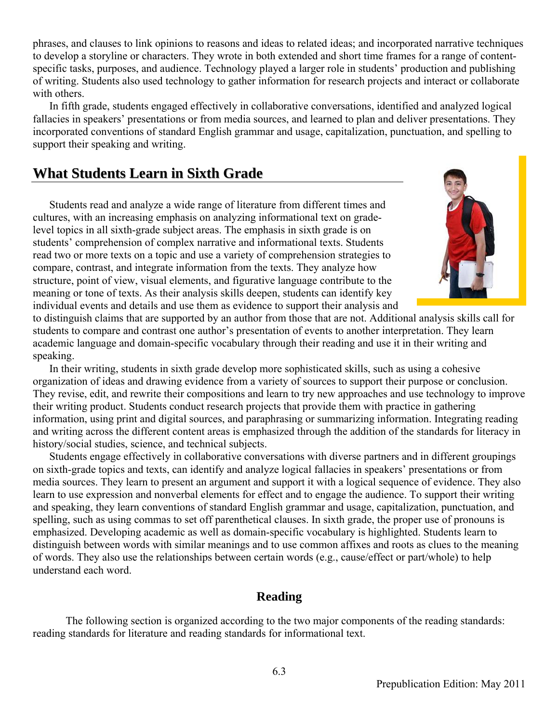phrases, and clauses to link opinions to reasons and ideas to related ideas; and incorporated narrative techniques to develop a storyline or characters. They wrote in both extended and short time frames for a range of contentspecific tasks, purposes, and audience. Technology played a larger role in students' production and publishing of writing. Students also used technology to gather information for research projects and interact or collaborate with others.

In fifth grade, students engaged effectively in collaborative conversations, identified and analyzed logical fallacies in speakers' presentations or from media sources, and learned to plan and deliver presentations. They incorporated conventions of standard English grammar and usage, capitalization, punctuation, and spelling to support their speaking and writing.

#### **What Students Learn in Sixth Grade**

Students read and analyze a wide range of literature from different times and cultures, with an increasing emphasis on analyzing informational text on gradelevel topics in all sixth-grade subject areas. The emphasis in sixth grade is on students' comprehension of complex narrative and informational texts. Students read two or more texts on a topic and use a variety of comprehension strategies to compare, contrast, and integrate information from the texts. They analyze how structure, point of view, visual elements, and figurative language contribute to the meaning or tone of texts. As their analysis skills deepen, students can identify key individual events and details and use them as evidence to support their analysis and



to distinguish claims that are supported by an author from those that are not. Additional analysis skills call for students to compare and contrast one author's presentation of events to another interpretation. They learn academic language and domain-specific vocabulary through their reading and use it in their writing and speaking.

In their writing, students in sixth grade develop more sophisticated skills, such as using a cohesive organization of ideas and drawing evidence from a variety of sources to support their purpose or conclusion. They revise, edit, and rewrite their compositions and learn to try new approaches and use technology to improve their writing product. Students conduct research projects that provide them with practice in gathering information, using print and digital sources, and paraphrasing or summarizing information. Integrating reading and writing across the different content areas is emphasized through the addition of the standards for literacy in history/social studies, science, and technical subjects.

Students engage effectively in collaborative conversations with diverse partners and in different groupings on sixth-grade topics and texts, can identify and analyze logical fallacies in speakers' presentations or from media sources. They learn to present an argument and support it with a logical sequence of evidence. They also learn to use expression and nonverbal elements for effect and to engage the audience. To support their writing and speaking, they learn conventions of standard English grammar and usage, capitalization, punctuation, and spelling, such as using commas to set off parenthetical clauses. In sixth grade, the proper use of pronouns is emphasized. Developing academic as well as domain-specific vocabulary is highlighted. Students learn to distinguish between words with similar meanings and to use common affixes and roots as clues to the meaning of words. They also use the relationships between certain words (e.g., cause/effect or part/whole) to help understand each word.

#### **Reading**

The following section is organized according to the two major components of the reading standards: reading standards for literature and reading standards for informational text.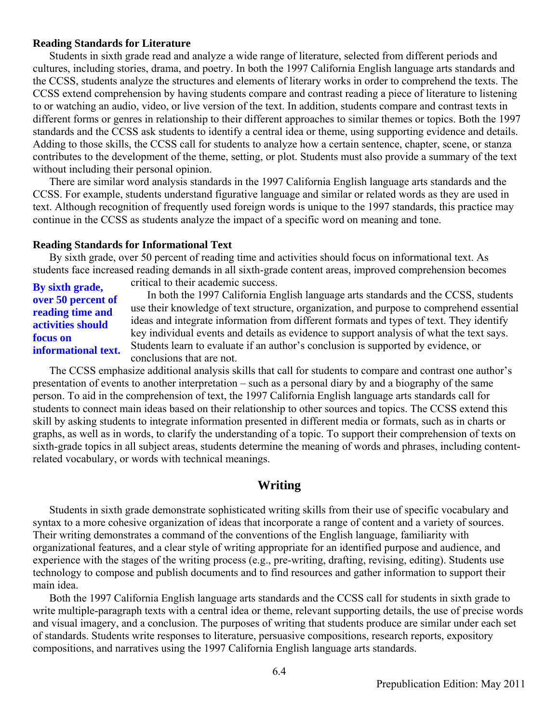#### **Reading Standards for Literature**

Students in sixth grade read and analyze a wide range of literature, selected from different periods and cultures, including stories, drama, and poetry. In both the 1997 California English language arts standards and the CCSS, students analyze the structures and elements of literary works in order to comprehend the texts. The CCSS extend comprehension by having students compare and contrast reading a piece of literature to listening to or watching an audio, video, or live version of the text. In addition, students compare and contrast texts in different forms or genres in relationship to their different approaches to similar themes or topics. Both the 1997 standards and the CCSS ask students to identify a central idea or theme, using supporting evidence and details. Adding to those skills, the CCSS call for students to analyze how a certain sentence, chapter, scene, or stanza contributes to the development of the theme, setting, or plot. Students must also provide a summary of the text without including their personal opinion.

There are similar word analysis standards in the 1997 California English language arts standards and the CCSS. For example, students understand figurative language and similar or related words as they are used in text. Although recognition of frequently used foreign words is unique to the 1997 standards, this practice may continue in the CCSS as students analyze the impact of a specific word on meaning and tone.

#### **Reading Standards for Informational Text**

By sixth grade, over 50 percent of reading time and activities should focus on informational text. As students face increased reading demands in all sixth-grade content areas, improved comprehension becomes critical to their academic success.

In both the 1997 California English language arts standards and the CCSS, students use their knowledge of text structure, organization, and purpose to comprehend essential ideas and integrate information from different formats and types of text. They identify key individual events and details as evidence to support analysis of what the text says. Students learn to evaluate if an author's conclusion is supported by evidence, or conclusions that are not. **By sixth grade, over 50 percent of reading time and activities should focus on informational text.**

The CCSS emphasize additional analysis skills that call for students to compare and contrast one author's presentation of events to another interpretation – such as a personal diary by and a biography of the same person. To aid in the comprehension of text, the 1997 California English language arts standards call for students to connect main ideas based on their relationship to other sources and topics. The CCSS extend this skill by asking students to integrate information presented in different media or formats, such as in charts or graphs, as well as in words, to clarify the understanding of a topic. To support their comprehension of texts on sixth-grade topics in all subject areas, students determine the meaning of words and phrases, including contentrelated vocabulary, or words with technical meanings.

#### **Writing**

Students in sixth grade demonstrate sophisticated writing skills from their use of specific vocabulary and syntax to a more cohesive organization of ideas that incorporate a range of content and a variety of sources. Their writing demonstrates a command of the conventions of the English language, familiarity with organizational features, and a clear style of writing appropriate for an identified purpose and audience, and experience with the stages of the writing process (e.g., pre-writing, drafting, revising, editing). Students use technology to compose and publish documents and to find resources and gather information to support their main idea.

Both the 1997 California English language arts standards and the CCSS call for students in sixth grade to write multiple-paragraph texts with a central idea or theme, relevant supporting details, the use of precise words and visual imagery, and a conclusion. The purposes of writing that students produce are similar under each set of standards. Students write responses to literature, persuasive compositions, research reports, expository compositions, and narratives using the 1997 California English language arts standards.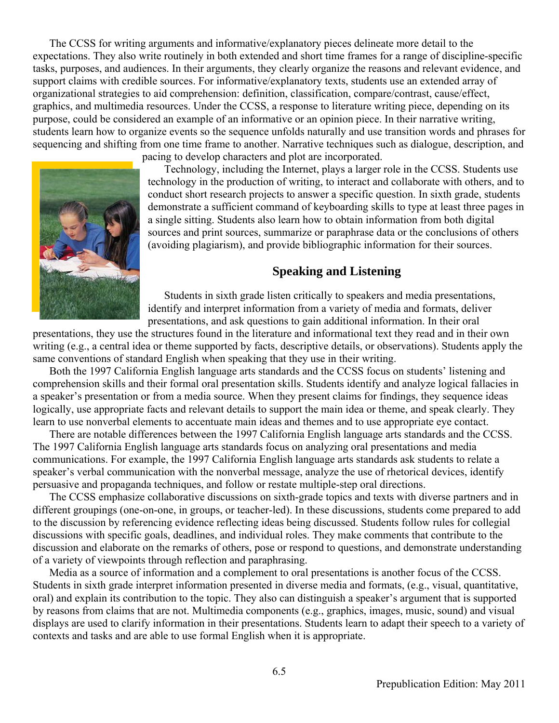The CCSS for writing arguments and informative/explanatory pieces delineate more detail to the expectations. They also write routinely in both extended and short time frames for a range of discipline-specific tasks, purposes, and audiences. In their arguments, they clearly organize the reasons and relevant evidence, and support claims with credible sources. For informative/explanatory texts, students use an extended array of organizational strategies to aid comprehension: definition, classification, compare/contrast, cause/effect, graphics, and multimedia resources. Under the CCSS, a response to literature writing piece, depending on its purpose, could be considered an example of an informative or an opinion piece. In their narrative writing, students learn how to organize events so the sequence unfolds naturally and use transition words and phrases for sequencing and shifting from one time frame to another. Narrative techniques such as dialogue, description, and



pacing to develop characters and plot are incorporated.

Technology, including the Internet, plays a larger role in the CCSS. Students use technology in the production of writing, to interact and collaborate with others, and to conduct short research projects to answer a specific question. In sixth grade, students demonstrate a sufficient command of keyboarding skills to type at least three pages in a single sitting. Students also learn how to obtain information from both digital sources and print sources, summarize or paraphrase data or the conclusions of others (avoiding plagiarism), and provide bibliographic information for their sources.

#### **Speaking and Listening**

Students in sixth grade listen critically to speakers and media presentations, identify and interpret information from a variety of media and formats, deliver presentations, and ask questions to gain additional information. In their oral

presentations, they use the structures found in the literature and informational text they read and in their own writing (e.g., a central idea or theme supported by facts, descriptive details, or observations). Students apply the same conventions of standard English when speaking that they use in their writing.

Both the 1997 California English language arts standards and the CCSS focus on students' listening and comprehension skills and their formal oral presentation skills. Students identify and analyze logical fallacies in a speaker's presentation or from a media source. When they present claims for findings, they sequence ideas logically, use appropriate facts and relevant details to support the main idea or theme, and speak clearly. They learn to use nonverbal elements to accentuate main ideas and themes and to use appropriate eye contact.

There are notable differences between the 1997 California English language arts standards and the CCSS. The 1997 California English language arts standards focus on analyzing oral presentations and media communications. For example, the 1997 California English language arts standards ask students to relate a speaker's verbal communication with the nonverbal message, analyze the use of rhetorical devices, identify persuasive and propaganda techniques, and follow or restate multiple-step oral directions.

The CCSS emphasize collaborative discussions on sixth-grade topics and texts with diverse partners and in different groupings (one-on-one, in groups, or teacher-led). In these discussions, students come prepared to add to the discussion by referencing evidence reflecting ideas being discussed. Students follow rules for collegial discussions with specific goals, deadlines, and individual roles. They make comments that contribute to the discussion and elaborate on the remarks of others, pose or respond to questions, and demonstrate understanding of a variety of viewpoints through reflection and paraphrasing.

Media as a source of information and a complement to oral presentations is another focus of the CCSS. Students in sixth grade interpret information presented in diverse media and formats, (e.g., visual, quantitative, oral) and explain its contribution to the topic. They also can distinguish a speaker's argument that is supported by reasons from claims that are not. Multimedia components (e.g., graphics, images, music, sound) and visual displays are used to clarify information in their presentations. Students learn to adapt their speech to a variety of contexts and tasks and are able to use formal English when it is appropriate.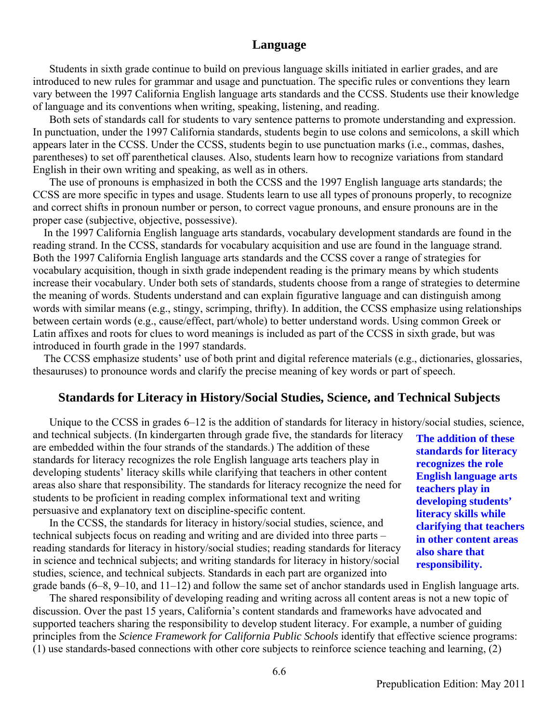#### **Language**

Students in sixth grade continue to build on previous language skills initiated in earlier grades, and are introduced to new rules for grammar and usage and punctuation. The specific rules or conventions they learn vary between the 1997 California English language arts standards and the CCSS. Students use their knowledge of language and its conventions when writing, speaking, listening, and reading.

Both sets of standards call for students to vary sentence patterns to promote understanding and expression. In punctuation, under the 1997 California standards, students begin to use colons and semicolons, a skill which appears later in the CCSS. Under the CCSS, students begin to use punctuation marks (i.e., commas, dashes, parentheses) to set off parenthetical clauses. Also, students learn how to recognize variations from standard English in their own writing and speaking, as well as in others.

The use of pronouns is emphasized in both the CCSS and the 1997 English language arts standards; the CCSS are more specific in types and usage. Students learn to use all types of pronouns properly, to recognize and correct shifts in pronoun number or person, to correct vague pronouns, and ensure pronouns are in the proper case (subjective, objective, possessive).

In the 1997 California English language arts standards, vocabulary development standards are found in the reading strand. In the CCSS, standards for vocabulary acquisition and use are found in the language strand. Both the 1997 California English language arts standards and the CCSS cover a range of strategies for vocabulary acquisition, though in sixth grade independent reading is the primary means by which students increase their vocabulary. Under both sets of standards, students choose from a range of strategies to determine the meaning of words. Students understand and can explain figurative language and can distinguish among words with similar means (e.g., stingy, scrimping, thrifty). In addition, the CCSS emphasize using relationships between certain words (e.g., cause/effect, part/whole) to better understand words. Using common Greek or Latin affixes and roots for clues to word meanings is included as part of the CCSS in sixth grade, but was introduced in fourth grade in the 1997 standards.

The CCSS emphasize students' use of both print and digital reference materials (e.g., dictionaries, glossaries, thesauruses) to pronounce words and clarify the precise meaning of key words or part of speech.

#### **Standards for Literacy in History/Social Studies, Science, and Technical Subjects**

Unique to the CCSS in grades 6–12 is the addition of standards for literacy in history/social studies, science,

and technical subjects. (In kindergarten through grade five, the standards for literacy are embedded within the four strands of the standards.) The addition of these standards for literacy recognizes the role English language arts teachers play in developing students' literacy skills while clarifying that teachers in other content areas also share that responsibility. The standards for literacy recognize the need for students to be proficient in reading complex informational text and writing persuasive and explanatory text on discipline-specific content.

In the CCSS, the standards for literacy in history/social studies, science, and technical subjects focus on reading and writing and are divided into three parts – reading standards for literacy in history/social studies; reading standards for literacy in science and technical subjects; and writing standards for literacy in history/social studies, science, and technical subjects. Standards in each part are organized into

grade bands (6–8, 9–10, and 11–12) and follow the same set of anchor standards used in English language arts. The shared responsibility of developing reading and writing across all content areas is not a new topic of discussion. Over the past 15 years, California's content standards and frameworks have advocated and supported teachers sharing the responsibility to develop student literacy. For example, a number of guiding principles from the *Science Framework for California Public Schools* identify that effective science programs: (1) use standards-based connections with other core subjects to reinforce science teaching and learning, (2)

**The addition of these standards for literacy recognizes the role English language arts teachers play in developing students' literacy skills while clarifying that teachers in other content areas also share that responsibility.**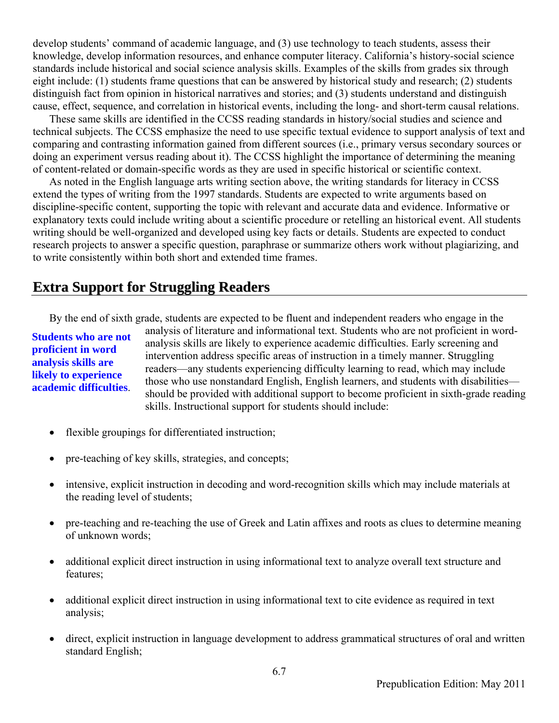develop students' command of academic language, and (3) use technology to teach students, assess their knowledge, develop information resources, and enhance computer literacy. California's history-social science standards include historical and social science analysis skills. Examples of the skills from grades six through eight include: (1) students frame questions that can be answered by historical study and research; (2) students distinguish fact from opinion in historical narratives and stories; and (3) students understand and distinguish cause, effect, sequence, and correlation in historical events, including the long- and short-term causal relations.

These same skills are identified in the CCSS reading standards in history/social studies and science and technical subjects. The CCSS emphasize the need to use specific textual evidence to support analysis of text and comparing and contrasting information gained from different sources (i.e., primary versus secondary sources or doing an experiment versus reading about it). The CCSS highlight the importance of determining the meaning of content-related or domain-specific words as they are used in specific historical or scientific context.

As noted in the English language arts writing section above, the writing standards for literacy in CCSS extend the types of writing from the 1997 standards. Students are expected to write arguments based on discipline-specific content, supporting the topic with relevant and accurate data and evidence. Informative or explanatory texts could include writing about a scientific procedure or retelling an historical event. All students writing should be well-organized and developed using key facts or details. Students are expected to conduct research projects to answer a specific question, paraphrase or summarize others work without plagiarizing, and to write consistently within both short and extended time frames.

#### **Extra Support for Struggling Readers**

By the end of sixth grade, students are expected to be fluent and independent readers who engage in the

#### **Students who are not proficient in word analysis skills are likely to experience academic difficulties**.

analysis of literature and informational text. Students who are not proficient in wordanalysis skills are likely to experience academic difficulties. Early screening and intervention address specific areas of instruction in a timely manner. Struggling readers—any students experiencing difficulty learning to read, which may include those who use nonstandard English, English learners, and students with disabilities should be provided with additional support to become proficient in sixth-grade reading skills. Instructional support for students should include:

- flexible groupings for differentiated instruction;
- pre-teaching of key skills, strategies, and concepts;
- intensive, explicit instruction in decoding and word-recognition skills which may include materials at the reading level of students;
- pre-teaching and re-teaching the use of Greek and Latin affixes and roots as clues to determine meaning of unknown words;
- additional explicit direct instruction in using informational text to analyze overall text structure and features;
- additional explicit direct instruction in using informational text to cite evidence as required in text analysis;
- direct, explicit instruction in language development to address grammatical structures of oral and written standard English;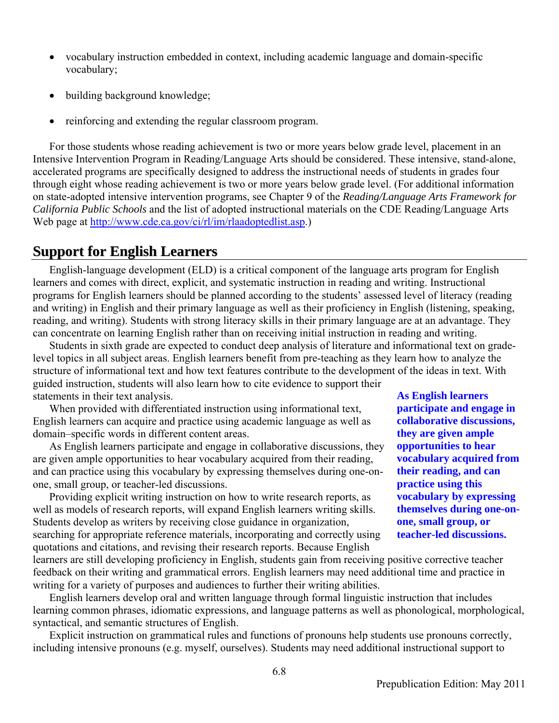- vocabulary instruction embedded in context, including academic language and domain-specific vocabulary;
- building background knowledge;
- reinforcing and extending the regular classroom program.

For those students whose reading achievement is two or more years below grade level, placement in an Intensive Intervention Program in Reading/Language Arts should be considered. These intensive, stand-alone, accelerated programs are specifically designed to address the instructional needs of students in grades four through eight whose reading achievement is two or more years below grade level. (For additional information on state-adopted intensive intervention programs, see Chapter 9 of the *Reading/Language Arts Framework for California Public Schools* and the list of adopted instructional materials on the CDE Reading/Language Arts Web page at http://www.cde.ca.gov/ci/rl/im/rlaadoptedlist.asp.)

#### **Support for English Learners**

English-language development (ELD) is a critical component of the language arts program for English learners and comes with direct, explicit, and systematic instruction in reading and writing. Instructional programs for English learners should be planned according to the students' assessed level of literacy (reading and writing) in English and their primary language as well as their proficiency in English (listening, speaking, reading, and writing). Students with strong literacy skills in their primary language are at an advantage. They can concentrate on learning English rather than on receiving initial instruction in reading and writing.

Students in sixth grade are expected to conduct deep analysis of literature and informational text on gradelevel topics in all subject areas. English learners benefit from pre-teaching as they learn how to analyze the structure of informational text and how text features contribute to the development of the ideas in text. With guided instruction, students will also learn how to cite evidence to support their statements in their text analysis. **As English learners** 

When provided with differentiated instruction using informational text, English learners can acquire and practice using academic language as well as domain–specific words in different content areas.

As English learners participate and engage in collaborative discussions, they are given ample opportunities to hear vocabulary acquired from their reading, and can practice using this vocabulary by expressing themselves during one-onone, small group, or teacher-led discussions.

 Providing explicit writing instruction on how to write research reports, as well as models of research reports, will expand English learners writing skills. Students develop as writers by receiving close guidance in organization, searching for appropriate reference materials, incorporating and correctly using quotations and citations, and revising their research reports. Because English

**participate and engage in collaborative discussions, they are given ample opportunities to hear vocabulary acquired from their reading, and can practice using this vocabulary by expressing themselves during one-onone, small group, or teacher-led discussions.** 

learners are still developing proficiency in English, students gain from receiving positive corrective teacher feedback on their writing and grammatical errors. English learners may need additional time and practice in writing for a variety of purposes and audiences to further their writing abilities.

English learners develop oral and written language through formal linguistic instruction that includes learning common phrases, idiomatic expressions, and language patterns as well as phonological, morphological, syntactical, and semantic structures of English.

Explicit instruction on grammatical rules and functions of pronouns help students use pronouns correctly, including intensive pronouns (e.g. myself, ourselves). Students may need additional instructional support to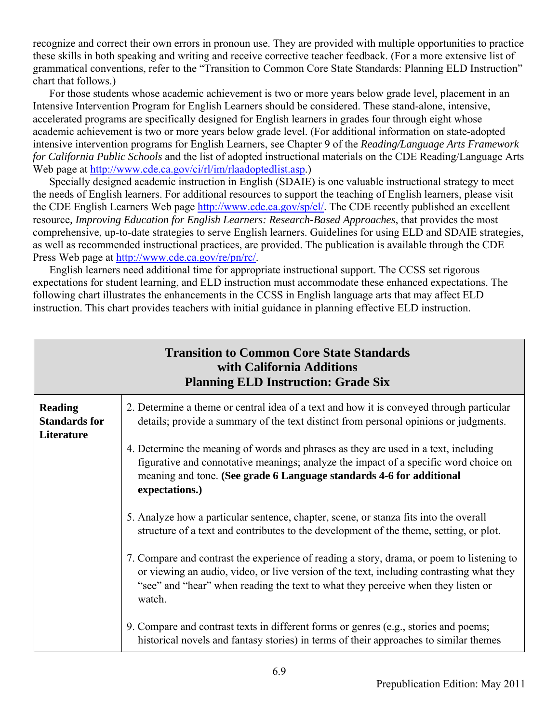recognize and correct their own errors in pronoun use. They are provided with multiple opportunities to practice these skills in both speaking and writing and receive corrective teacher feedback. (For a more extensive list of grammatical conventions, refer to the "Transition to Common Core State Standards: Planning ELD Instruction" chart that follows.)

For those students whose academic achievement is two or more years below grade level, placement in an Intensive Intervention Program for English Learners should be considered. These stand-alone, intensive, accelerated programs are specifically designed for English learners in grades four through eight whose academic achievement is two or more years below grade level. (For additional information on state-adopted intensive intervention programs for English Learners, see Chapter 9 of the *Reading/Language Arts Framework for California Public Schools* and the list of adopted instructional materials on the CDE Reading/Language Arts Web page at http://www.cde.ca.gov/ci/rl/im/rlaadoptedlist.asp.)

Specially designed academic instruction in English (SDAIE) is one valuable instructional strategy to meet the needs of English learners. For additional resources to support the teaching of English learners, please visit the CDE English Learners Web page http://www.cde.ca.gov/sp/el/. The CDE recently published an excellent resource*, Improving Education for English Learners: Research-Based Approaches*, that provides the most comprehensive, up-to-date strategies to serve English learners. Guidelines for using ELD and SDAIE strategies, as well as recommended instructional practices, are provided. The publication is available through the CDE Press Web page at http://www.cde.ca.gov/re/pn/rc/.

English learners need additional time for appropriate instructional support. The CCSS set rigorous expectations for student learning, and ELD instruction must accommodate these enhanced expectations. The following chart illustrates the enhancements in the CCSS in English language arts that may affect ELD instruction. This chart provides teachers with initial guidance in planning effective ELD instruction.

|                                                      | <b>Transition to Common Core State Standards</b><br>with California Additions<br><b>Planning ELD Instruction: Grade Six</b>                                                                                                                                                         |
|------------------------------------------------------|-------------------------------------------------------------------------------------------------------------------------------------------------------------------------------------------------------------------------------------------------------------------------------------|
| <b>Reading</b><br><b>Standards for</b><br>Literature | 2. Determine a theme or central idea of a text and how it is conveyed through particular<br>details; provide a summary of the text distinct from personal opinions or judgments.                                                                                                    |
|                                                      | 4. Determine the meaning of words and phrases as they are used in a text, including<br>figurative and connotative meanings; analyze the impact of a specific word choice on<br>meaning and tone. (See grade 6 Language standards 4-6 for additional<br>expectations.)               |
|                                                      | 5. Analyze how a particular sentence, chapter, scene, or stanza fits into the overall<br>structure of a text and contributes to the development of the theme, setting, or plot.                                                                                                     |
|                                                      | 7. Compare and contrast the experience of reading a story, drama, or poem to listening to<br>or viewing an audio, video, or live version of the text, including contrasting what they<br>"see" and "hear" when reading the text to what they perceive when they listen or<br>watch. |
|                                                      | 9. Compare and contrast texts in different forms or genres (e.g., stories and poems;<br>historical novels and fantasy stories) in terms of their approaches to similar themes                                                                                                       |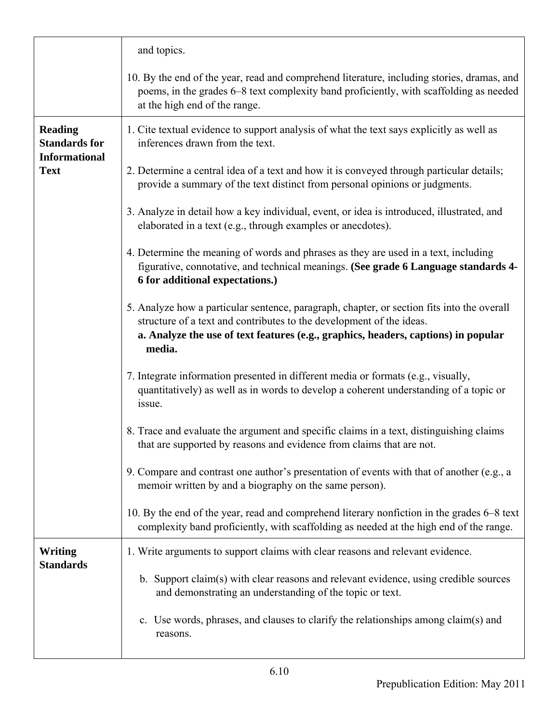|                                                                | and topics.                                                                                                                                                                                                                                                        |
|----------------------------------------------------------------|--------------------------------------------------------------------------------------------------------------------------------------------------------------------------------------------------------------------------------------------------------------------|
|                                                                | 10. By the end of the year, read and comprehend literature, including stories, dramas, and<br>poems, in the grades 6–8 text complexity band proficiently, with scaffolding as needed<br>at the high end of the range.                                              |
| <b>Reading</b><br><b>Standards for</b><br><b>Informational</b> | 1. Cite textual evidence to support analysis of what the text says explicitly as well as<br>inferences drawn from the text.                                                                                                                                        |
| <b>Text</b>                                                    | 2. Determine a central idea of a text and how it is conveyed through particular details;<br>provide a summary of the text distinct from personal opinions or judgments.                                                                                            |
|                                                                | 3. Analyze in detail how a key individual, event, or idea is introduced, illustrated, and<br>elaborated in a text (e.g., through examples or anecdotes).                                                                                                           |
|                                                                | 4. Determine the meaning of words and phrases as they are used in a text, including<br>figurative, connotative, and technical meanings. (See grade 6 Language standards 4-<br>6 for additional expectations.)                                                      |
|                                                                | 5. Analyze how a particular sentence, paragraph, chapter, or section fits into the overall<br>structure of a text and contributes to the development of the ideas.<br>a. Analyze the use of text features (e.g., graphics, headers, captions) in popular<br>media. |
|                                                                | 7. Integrate information presented in different media or formats (e.g., visually,<br>quantitatively) as well as in words to develop a coherent understanding of a topic or<br>issue.                                                                               |
|                                                                | 8. Trace and evaluate the argument and specific claims in a text, distinguishing claims<br>that are supported by reasons and evidence from claims that are not.                                                                                                    |
|                                                                | 9. Compare and contrast one author's presentation of events with that of another (e.g., a<br>memoir written by and a biography on the same person).                                                                                                                |
|                                                                | 10. By the end of the year, read and comprehend literary nonfiction in the grades 6–8 text<br>complexity band proficiently, with scaffolding as needed at the high end of the range.                                                                               |
| <b>Writing</b><br><b>Standards</b>                             | 1. Write arguments to support claims with clear reasons and relevant evidence.                                                                                                                                                                                     |
|                                                                | b. Support claim(s) with clear reasons and relevant evidence, using credible sources<br>and demonstrating an understanding of the topic or text.                                                                                                                   |
|                                                                | c. Use words, phrases, and clauses to clarify the relationships among claim(s) and<br>reasons.                                                                                                                                                                     |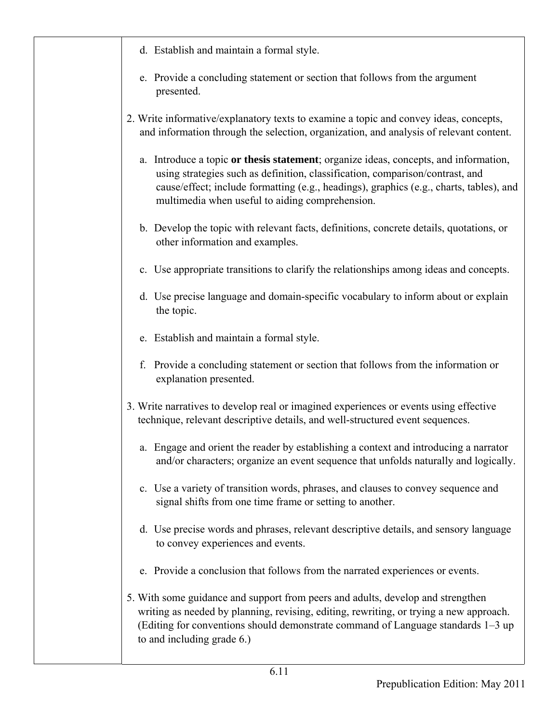- d. Establish and maintain a formal style.
- e. Provide a concluding statement or section that follows from the argument presented.
- 2. Write informative/explanatory texts to examine a topic and convey ideas, concepts, and information through the selection, organization, and analysis of relevant content.
	- a. Introduce a topic **or thesis statement**; organize ideas, concepts, and information, using strategies such as definition, classification, comparison/contrast, and cause/effect; include formatting (e.g., headings), graphics (e.g., charts, tables), and multimedia when useful to aiding comprehension.
	- b. Develop the topic with relevant facts, definitions, concrete details, quotations, or other information and examples.
	- c. Use appropriate transitions to clarify the relationships among ideas and concepts.
	- d. Use precise language and domain-specific vocabulary to inform about or explain the topic.
	- e. Establish and maintain a formal style.
	- f. Provide a concluding statement or section that follows from the information or explanation presented.
- 3. Write narratives to develop real or imagined experiences or events using effective technique, relevant descriptive details, and well-structured event sequences.
	- a. Engage and orient the reader by establishing a context and introducing a narrator and/or characters; organize an event sequence that unfolds naturally and logically.
	- c. Use a variety of transition words, phrases, and clauses to convey sequence and signal shifts from one time frame or setting to another.
	- d. Use precise words and phrases, relevant descriptive details, and sensory language to convey experiences and events.
	- e. Provide a conclusion that follows from the narrated experiences or events.
- 5. With some guidance and support from peers and adults, develop and strengthen writing as needed by planning, revising, editing, rewriting, or trying a new approach. (Editing for conventions should demonstrate command of Language standards 1–3 up to and including grade 6.)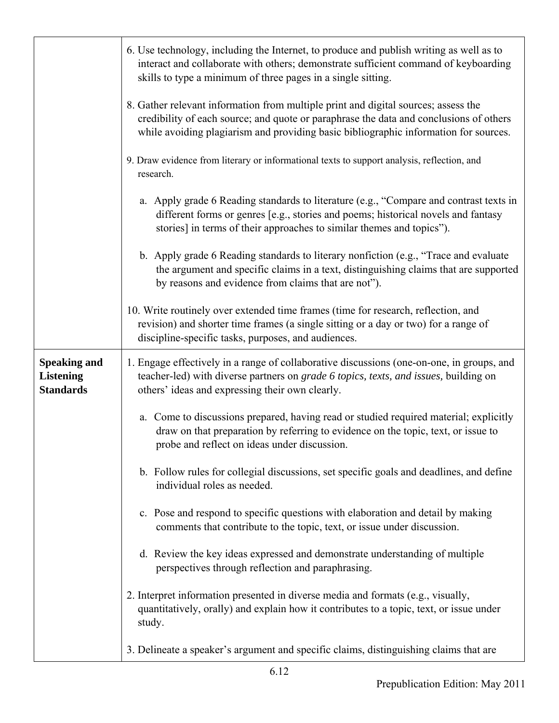|                                                             | 6. Use technology, including the Internet, to produce and publish writing as well as to<br>interact and collaborate with others; demonstrate sufficient command of keyboarding<br>skills to type a minimum of three pages in a single sitting.                       |
|-------------------------------------------------------------|----------------------------------------------------------------------------------------------------------------------------------------------------------------------------------------------------------------------------------------------------------------------|
|                                                             | 8. Gather relevant information from multiple print and digital sources; assess the<br>credibility of each source; and quote or paraphrase the data and conclusions of others<br>while avoiding plagiarism and providing basic bibliographic information for sources. |
|                                                             | 9. Draw evidence from literary or informational texts to support analysis, reflection, and<br>research.                                                                                                                                                              |
|                                                             | a. Apply grade 6 Reading standards to literature (e.g., "Compare and contrast texts in<br>different forms or genres [e.g., stories and poems; historical novels and fantasy<br>stories] in terms of their approaches to similar themes and topics").                 |
|                                                             | b. Apply grade 6 Reading standards to literary nonfiction (e.g., "Trace and evaluate<br>the argument and specific claims in a text, distinguishing claims that are supported<br>by reasons and evidence from claims that are not").                                  |
|                                                             | 10. Write routinely over extended time frames (time for research, reflection, and<br>revision) and shorter time frames (a single sitting or a day or two) for a range of<br>discipline-specific tasks, purposes, and audiences.                                      |
| <b>Speaking and</b><br><b>Listening</b><br><b>Standards</b> | 1. Engage effectively in a range of collaborative discussions (one-on-one, in groups, and<br>teacher-led) with diverse partners on grade 6 topics, texts, and issues, building on<br>others' ideas and expressing their own clearly.                                 |
|                                                             | a. Come to discussions prepared, having read or studied required material; explicitly<br>draw on that preparation by referring to evidence on the topic, text, or issue to<br>probe and reflect on ideas under discussion.                                           |
|                                                             | b. Follow rules for collegial discussions, set specific goals and deadlines, and define<br>individual roles as needed.                                                                                                                                               |
|                                                             | c. Pose and respond to specific questions with elaboration and detail by making<br>comments that contribute to the topic, text, or issue under discussion.                                                                                                           |
|                                                             | d. Review the key ideas expressed and demonstrate understanding of multiple<br>perspectives through reflection and paraphrasing.                                                                                                                                     |
|                                                             | 2. Interpret information presented in diverse media and formats (e.g., visually,<br>quantitatively, orally) and explain how it contributes to a topic, text, or issue under<br>study.                                                                                |
|                                                             | 3. Delineate a speaker's argument and specific claims, distinguishing claims that are                                                                                                                                                                                |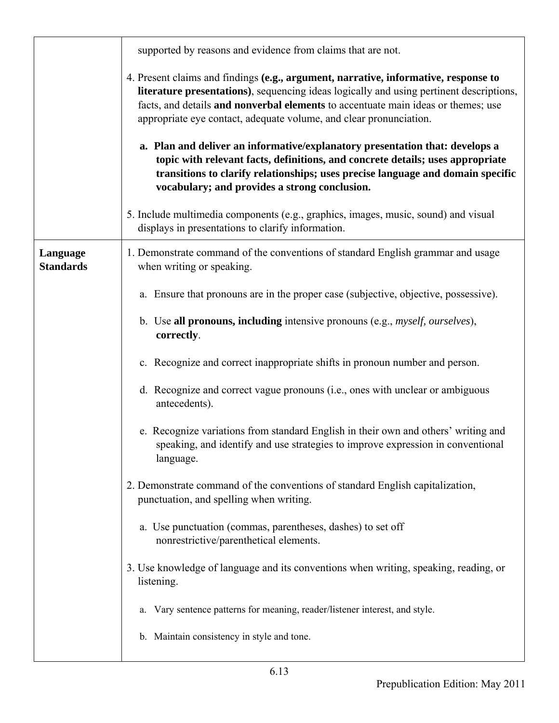|                              | supported by reasons and evidence from claims that are not.                                                                                                                                                                                                                                                                                                                                                                                                                                                                                                                                                                                     |
|------------------------------|-------------------------------------------------------------------------------------------------------------------------------------------------------------------------------------------------------------------------------------------------------------------------------------------------------------------------------------------------------------------------------------------------------------------------------------------------------------------------------------------------------------------------------------------------------------------------------------------------------------------------------------------------|
|                              | 4. Present claims and findings (e.g., argument, narrative, informative, response to<br>literature presentations), sequencing ideas logically and using pertinent descriptions,<br>facts, and details and nonverbal elements to accentuate main ideas or themes; use<br>appropriate eye contact, adequate volume, and clear pronunciation.<br>a. Plan and deliver an informative/explanatory presentation that: develops a<br>topic with relevant facts, definitions, and concrete details; uses appropriate<br>transitions to clarify relationships; uses precise language and domain specific<br>vocabulary; and provides a strong conclusion. |
|                              | 5. Include multimedia components (e.g., graphics, images, music, sound) and visual<br>displays in presentations to clarify information.                                                                                                                                                                                                                                                                                                                                                                                                                                                                                                         |
| Language<br><b>Standards</b> | 1. Demonstrate command of the conventions of standard English grammar and usage<br>when writing or speaking.                                                                                                                                                                                                                                                                                                                                                                                                                                                                                                                                    |
|                              | a. Ensure that pronouns are in the proper case (subjective, objective, possessive).                                                                                                                                                                                                                                                                                                                                                                                                                                                                                                                                                             |
|                              | b. Use all pronouns, including intensive pronouns (e.g., <i>myself, ourselves</i> ),<br>correctly.                                                                                                                                                                                                                                                                                                                                                                                                                                                                                                                                              |
|                              | c. Recognize and correct inappropriate shifts in pronoun number and person.                                                                                                                                                                                                                                                                                                                                                                                                                                                                                                                                                                     |
|                              | d. Recognize and correct vague pronouns (i.e., ones with unclear or ambiguous<br>antecedents).                                                                                                                                                                                                                                                                                                                                                                                                                                                                                                                                                  |
|                              | e. Recognize variations from standard English in their own and others' writing and<br>speaking, and identify and use strategies to improve expression in conventional<br>language.                                                                                                                                                                                                                                                                                                                                                                                                                                                              |
|                              | 2. Demonstrate command of the conventions of standard English capitalization,<br>punctuation, and spelling when writing.                                                                                                                                                                                                                                                                                                                                                                                                                                                                                                                        |
|                              | a. Use punctuation (commas, parentheses, dashes) to set off<br>nonrestrictive/parenthetical elements.                                                                                                                                                                                                                                                                                                                                                                                                                                                                                                                                           |
|                              | 3. Use knowledge of language and its conventions when writing, speaking, reading, or<br>listening.                                                                                                                                                                                                                                                                                                                                                                                                                                                                                                                                              |
|                              | Vary sentence patterns for meaning, reader/listener interest, and style.<br>a.                                                                                                                                                                                                                                                                                                                                                                                                                                                                                                                                                                  |
|                              | b. Maintain consistency in style and tone.                                                                                                                                                                                                                                                                                                                                                                                                                                                                                                                                                                                                      |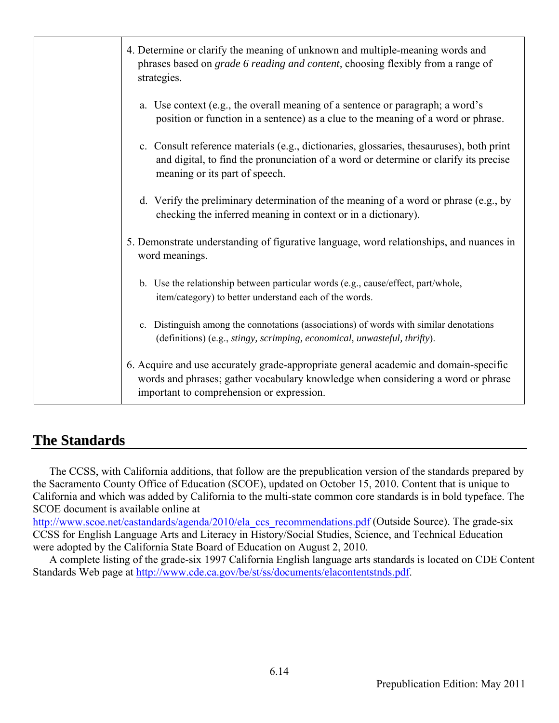| 4. Determine or clarify the meaning of unknown and multiple-meaning words and<br>phrases based on <i>grade 6 reading and content</i> , choosing flexibly from a range of<br>strategies.                               |
|-----------------------------------------------------------------------------------------------------------------------------------------------------------------------------------------------------------------------|
| a. Use context (e.g., the overall meaning of a sentence or paragraph; a word's<br>position or function in a sentence) as a clue to the meaning of a word or phrase.                                                   |
| c. Consult reference materials (e.g., dictionaries, glossaries, thesauruses), both print<br>and digital, to find the pronunciation of a word or determine or clarify its precise<br>meaning or its part of speech.    |
| d. Verify the preliminary determination of the meaning of a word or phrase (e.g., by<br>checking the inferred meaning in context or in a dictionary).                                                                 |
| 5. Demonstrate understanding of figurative language, word relationships, and nuances in<br>word meanings.                                                                                                             |
| b. Use the relationship between particular words (e.g., cause/effect, part/whole,<br>item/category) to better understand each of the words.                                                                           |
| Distinguish among the connotations (associations) of words with similar denotations<br>$\mathbf{c}$ .<br>(definitions) (e.g., stingy, scrimping, economical, unwasteful, thrifty).                                    |
| 6. Acquire and use accurately grade-appropriate general academic and domain-specific<br>words and phrases; gather vocabulary knowledge when considering a word or phrase<br>important to comprehension or expression. |

#### **The Standards**

The CCSS, with California additions, that follow are the prepublication version of the standards prepared by the Sacramento County Office of Education (SCOE), updated on October 15, 2010. Content that is unique to California and which was added by California to the multi-state common core standards is in bold typeface. The SCOE document is available online at

http://www.scoe.net/castandards/agenda/2010/ela\_ccs\_recommendations.pdf (Outside Source). The grade-six CCSS for English Language Arts and Literacy in History/Social Studies, Science, and Technical Education were adopted by the California State Board of Education on August 2, 2010.

A complete listing of the grade-six 1997 California English language arts standards is located on CDE Content Standards Web page at http://www.cde.ca.gov/be/st/ss/documents/elacontentstnds.pdf.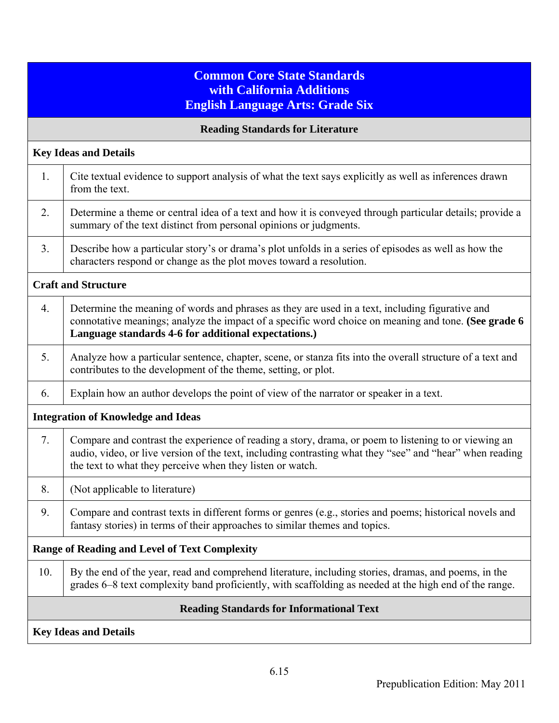#### **Common Core State Standards with California Additions English Language Arts: Grade Six**

|                                           | <b>Reading Standards for Literature</b>                                                                                                                                                                                                                                       |  |
|-------------------------------------------|-------------------------------------------------------------------------------------------------------------------------------------------------------------------------------------------------------------------------------------------------------------------------------|--|
|                                           | <b>Key Ideas and Details</b>                                                                                                                                                                                                                                                  |  |
| 1.                                        | Cite textual evidence to support analysis of what the text says explicitly as well as inferences drawn<br>from the text.                                                                                                                                                      |  |
| 2.                                        | Determine a theme or central idea of a text and how it is conveyed through particular details; provide a<br>summary of the text distinct from personal opinions or judgments.                                                                                                 |  |
| 3.                                        | Describe how a particular story's or drama's plot unfolds in a series of episodes as well as how the<br>characters respond or change as the plot moves toward a resolution.                                                                                                   |  |
|                                           | <b>Craft and Structure</b>                                                                                                                                                                                                                                                    |  |
| 4.                                        | Determine the meaning of words and phrases as they are used in a text, including figurative and<br>connotative meanings; analyze the impact of a specific word choice on meaning and tone. (See grade 6<br>Language standards 4-6 for additional expectations.)               |  |
| 5.                                        | Analyze how a particular sentence, chapter, scene, or stanza fits into the overall structure of a text and<br>contributes to the development of the theme, setting, or plot.                                                                                                  |  |
| 6.                                        | Explain how an author develops the point of view of the narrator or speaker in a text.                                                                                                                                                                                        |  |
| <b>Integration of Knowledge and Ideas</b> |                                                                                                                                                                                                                                                                               |  |
| 7.                                        | Compare and contrast the experience of reading a story, drama, or poem to listening to or viewing an<br>audio, video, or live version of the text, including contrasting what they "see" and "hear" when reading<br>the text to what they perceive when they listen or watch. |  |
| 8.                                        | (Not applicable to literature)                                                                                                                                                                                                                                                |  |
| 9.                                        | Compare and contrast texts in different forms or genres (e.g., stories and poems; historical novels and<br>fantasy stories) in terms of their approaches to similar themes and topics.                                                                                        |  |
|                                           | <b>Range of Reading and Level of Text Complexity</b>                                                                                                                                                                                                                          |  |
| 10.                                       | By the end of the year, read and comprehend literature, including stories, dramas, and poems, in the<br>grades 6–8 text complexity band proficiently, with scaffolding as needed at the high end of the range.                                                                |  |
|                                           | <b>Reading Standards for Informational Text</b>                                                                                                                                                                                                                               |  |
|                                           | <b>Key Ideas and Details</b>                                                                                                                                                                                                                                                  |  |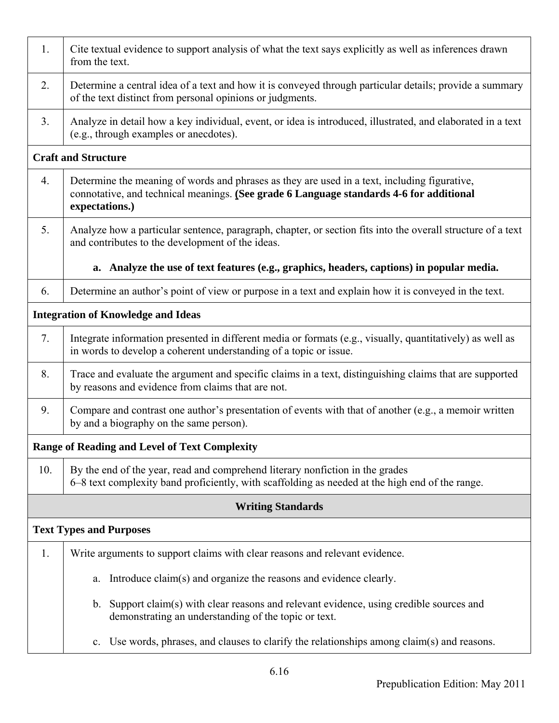| 1.                             | Cite textual evidence to support analysis of what the text says explicitly as well as inferences drawn<br>from the text.                                                                                  |  |  |
|--------------------------------|-----------------------------------------------------------------------------------------------------------------------------------------------------------------------------------------------------------|--|--|
| 2.                             | Determine a central idea of a text and how it is conveyed through particular details; provide a summary<br>of the text distinct from personal opinions or judgments.                                      |  |  |
| 3.                             | Analyze in detail how a key individual, event, or idea is introduced, illustrated, and elaborated in a text<br>(e.g., through examples or anecdotes).                                                     |  |  |
|                                | <b>Craft and Structure</b>                                                                                                                                                                                |  |  |
| 4.                             | Determine the meaning of words and phrases as they are used in a text, including figurative,<br>connotative, and technical meanings. (See grade 6 Language standards 4-6 for additional<br>expectations.) |  |  |
| 5.                             | Analyze how a particular sentence, paragraph, chapter, or section fits into the overall structure of a text<br>and contributes to the development of the ideas.                                           |  |  |
|                                | a. Analyze the use of text features (e.g., graphics, headers, captions) in popular media.                                                                                                                 |  |  |
| 6.                             | Determine an author's point of view or purpose in a text and explain how it is conveyed in the text.                                                                                                      |  |  |
|                                | <b>Integration of Knowledge and Ideas</b>                                                                                                                                                                 |  |  |
| 7.                             | Integrate information presented in different media or formats (e.g., visually, quantitatively) as well as<br>in words to develop a coherent understanding of a topic or issue.                            |  |  |
| 8.                             | Trace and evaluate the argument and specific claims in a text, distinguishing claims that are supported<br>by reasons and evidence from claims that are not.                                              |  |  |
| 9.                             | Compare and contrast one author's presentation of events with that of another (e.g., a memoir written<br>by and a biography on the same person).                                                          |  |  |
|                                | Range of Reading and Level of Text Complexity                                                                                                                                                             |  |  |
| 10.                            | By the end of the year, read and comprehend literary nonfiction in the grades<br>6–8 text complexity band proficiently, with scaffolding as needed at the high end of the range.                          |  |  |
|                                | <b>Writing Standards</b>                                                                                                                                                                                  |  |  |
| <b>Text Types and Purposes</b> |                                                                                                                                                                                                           |  |  |
| 1.                             | Write arguments to support claims with clear reasons and relevant evidence.                                                                                                                               |  |  |
|                                | Introduce claim(s) and organize the reasons and evidence clearly.<br>a.                                                                                                                                   |  |  |
|                                | b. Support claim(s) with clear reasons and relevant evidence, using credible sources and<br>demonstrating an understanding of the topic or text.                                                          |  |  |
|                                | Use words, phrases, and clauses to clarify the relationships among claim(s) and reasons.<br>$\mathbf{c}$ .                                                                                                |  |  |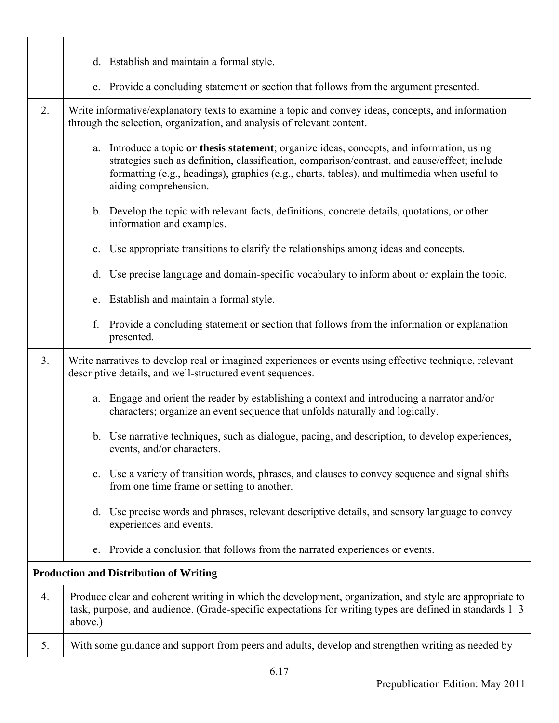|                | d. Establish and maintain a formal style.                                                                                                                                                                                                                                                                              |
|----------------|------------------------------------------------------------------------------------------------------------------------------------------------------------------------------------------------------------------------------------------------------------------------------------------------------------------------|
|                | Provide a concluding statement or section that follows from the argument presented.<br>e.                                                                                                                                                                                                                              |
| 2.             | Write informative/explanatory texts to examine a topic and convey ideas, concepts, and information<br>through the selection, organization, and analysis of relevant content.                                                                                                                                           |
|                | Introduce a topic or thesis statement; organize ideas, concepts, and information, using<br>a.<br>strategies such as definition, classification, comparison/contrast, and cause/effect; include<br>formatting (e.g., headings), graphics (e.g., charts, tables), and multimedia when useful to<br>aiding comprehension. |
|                | b. Develop the topic with relevant facts, definitions, concrete details, quotations, or other<br>information and examples.                                                                                                                                                                                             |
|                | Use appropriate transitions to clarify the relationships among ideas and concepts.<br>c.                                                                                                                                                                                                                               |
|                | Use precise language and domain-specific vocabulary to inform about or explain the topic.<br>d.                                                                                                                                                                                                                        |
|                | Establish and maintain a formal style.<br>e.                                                                                                                                                                                                                                                                           |
|                | f.<br>Provide a concluding statement or section that follows from the information or explanation<br>presented.                                                                                                                                                                                                         |
| 3 <sub>1</sub> | Write narratives to develop real or imagined experiences or events using effective technique, relevant<br>descriptive details, and well-structured event sequences.                                                                                                                                                    |
|                | Engage and orient the reader by establishing a context and introducing a narrator and/or<br>a.<br>characters; organize an event sequence that unfolds naturally and logically.                                                                                                                                         |
|                | b. Use narrative techniques, such as dialogue, pacing, and description, to develop experiences,<br>events, and/or characters.                                                                                                                                                                                          |
|                | Use a variety of transition words, phrases, and clauses to convey sequence and signal shifts<br>$\mathbf{c}$ .<br>from one time frame or setting to another.                                                                                                                                                           |
|                | Use precise words and phrases, relevant descriptive details, and sensory language to convey<br>d.<br>experiences and events.                                                                                                                                                                                           |
|                | Provide a conclusion that follows from the narrated experiences or events.<br>e.                                                                                                                                                                                                                                       |
|                | <b>Production and Distribution of Writing</b>                                                                                                                                                                                                                                                                          |
| 4.             | Produce clear and coherent writing in which the development, organization, and style are appropriate to<br>task, purpose, and audience. (Grade-specific expectations for writing types are defined in standards 1–3<br>above.)                                                                                         |
| 5.             | With some guidance and support from peers and adults, develop and strengthen writing as needed by                                                                                                                                                                                                                      |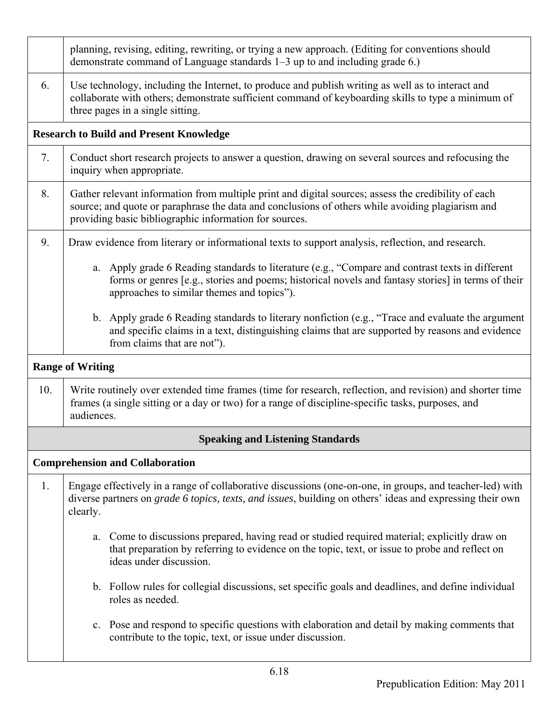|                                                | planning, revising, editing, rewriting, or trying a new approach. (Editing for conventions should<br>demonstrate command of Language standards 1–3 up to and including grade 6.)                                                                                  |  |
|------------------------------------------------|-------------------------------------------------------------------------------------------------------------------------------------------------------------------------------------------------------------------------------------------------------------------|--|
| 6.                                             | Use technology, including the Internet, to produce and publish writing as well as to interact and<br>collaborate with others; demonstrate sufficient command of keyboarding skills to type a minimum of<br>three pages in a single sitting.                       |  |
| <b>Research to Build and Present Knowledge</b> |                                                                                                                                                                                                                                                                   |  |
| 7.                                             | Conduct short research projects to answer a question, drawing on several sources and refocusing the<br>inquiry when appropriate.                                                                                                                                  |  |
| 8.                                             | Gather relevant information from multiple print and digital sources; assess the credibility of each<br>source; and quote or paraphrase the data and conclusions of others while avoiding plagiarism and<br>providing basic bibliographic information for sources. |  |
| 9.                                             | Draw evidence from literary or informational texts to support analysis, reflection, and research.                                                                                                                                                                 |  |
|                                                | a. Apply grade 6 Reading standards to literature (e.g., "Compare and contrast texts in different<br>forms or genres [e.g., stories and poems; historical novels and fantasy stories] in terms of their<br>approaches to similar themes and topics").              |  |
|                                                | b. Apply grade 6 Reading standards to literary nonfiction (e.g., "Trace and evaluate the argument<br>and specific claims in a text, distinguishing claims that are supported by reasons and evidence<br>from claims that are not").                               |  |
| <b>Range of Writing</b>                        |                                                                                                                                                                                                                                                                   |  |
| 10.                                            | Write routinely over extended time frames (time for research, reflection, and revision) and shorter time<br>frames (a single sitting or a day or two) for a range of discipline-specific tasks, purposes, and<br>audiences.                                       |  |
|                                                | <b>Speaking and Listening Standards</b>                                                                                                                                                                                                                           |  |
|                                                | <b>Comprehension and Collaboration</b>                                                                                                                                                                                                                            |  |
| 1.                                             | Engage effectively in a range of collaborative discussions (one-on-one, in groups, and teacher-led) with<br>diverse partners on grade 6 topics, texts, and issues, building on others' ideas and expressing their own<br>clearly.                                 |  |
|                                                | Come to discussions prepared, having read or studied required material; explicitly draw on<br>a.<br>that preparation by referring to evidence on the topic, text, or issue to probe and reflect on<br>ideas under discussion.                                     |  |
|                                                | b. Follow rules for collegial discussions, set specific goals and deadlines, and define individual<br>roles as needed.                                                                                                                                            |  |
|                                                | c. Pose and respond to specific questions with elaboration and detail by making comments that<br>contribute to the topic, text, or issue under discussion.                                                                                                        |  |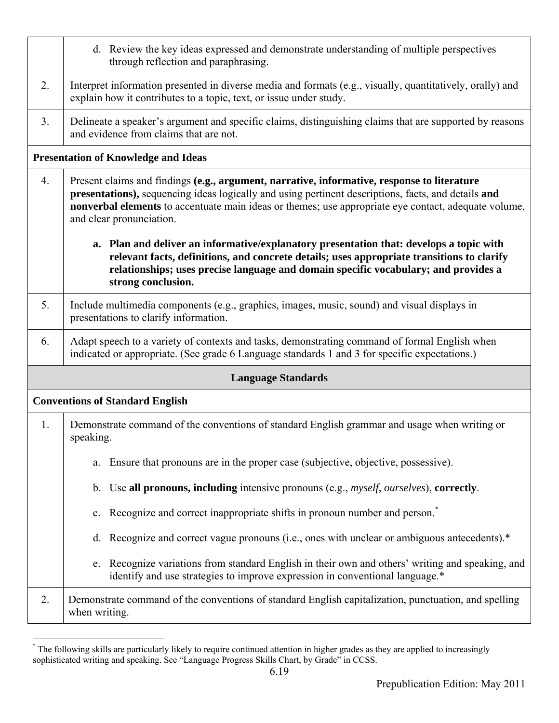|                                            | d. Review the key ideas expressed and demonstrate understanding of multiple perspectives<br>through reflection and paraphrasing.                                                                                                                                                                                                       |  |
|--------------------------------------------|----------------------------------------------------------------------------------------------------------------------------------------------------------------------------------------------------------------------------------------------------------------------------------------------------------------------------------------|--|
| 2.                                         | Interpret information presented in diverse media and formats (e.g., visually, quantitatively, orally) and<br>explain how it contributes to a topic, text, or issue under study.                                                                                                                                                        |  |
| 3.                                         | Delineate a speaker's argument and specific claims, distinguishing claims that are supported by reasons<br>and evidence from claims that are not.                                                                                                                                                                                      |  |
| <b>Presentation of Knowledge and Ideas</b> |                                                                                                                                                                                                                                                                                                                                        |  |
| 4.                                         | Present claims and findings (e.g., argument, narrative, informative, response to literature<br>presentations), sequencing ideas logically and using pertinent descriptions, facts, and details and<br>nonverbal elements to accentuate main ideas or themes; use appropriate eye contact, adequate volume,<br>and clear pronunciation. |  |
|                                            | a. Plan and deliver an informative/explanatory presentation that: develops a topic with<br>relevant facts, definitions, and concrete details; uses appropriate transitions to clarify<br>relationships; uses precise language and domain specific vocabulary; and provides a<br>strong conclusion.                                     |  |
| 5.                                         | Include multimedia components (e.g., graphics, images, music, sound) and visual displays in<br>presentations to clarify information.                                                                                                                                                                                                   |  |
| 6.                                         | Adapt speech to a variety of contexts and tasks, demonstrating command of formal English when<br>indicated or appropriate. (See grade 6 Language standards 1 and 3 for specific expectations.)                                                                                                                                         |  |
| <b>Language Standards</b>                  |                                                                                                                                                                                                                                                                                                                                        |  |
| <b>Conventions of Standard English</b>     |                                                                                                                                                                                                                                                                                                                                        |  |
| 1.                                         | Demonstrate command of the conventions of standard English grammar and usage when writing or<br>speaking.                                                                                                                                                                                                                              |  |
|                                            | Ensure that pronouns are in the proper case (subjective, objective, possessive).<br>a.                                                                                                                                                                                                                                                 |  |
|                                            | Use all pronouns, including intensive pronouns (e.g., <i>myself, ourselves</i> ), correctly.<br>b.                                                                                                                                                                                                                                     |  |
|                                            | Recognize and correct inappropriate shifts in pronoun number and person. <sup>*</sup><br>$\mathbf{c}$ .                                                                                                                                                                                                                                |  |
|                                            | Recognize and correct vague pronouns (i.e., ones with unclear or ambiguous antecedents).*<br>d.                                                                                                                                                                                                                                        |  |
|                                            | Recognize variations from standard English in their own and others' writing and speaking, and<br>e.<br>identify and use strategies to improve expression in conventional language.*                                                                                                                                                    |  |
| 2.                                         | Demonstrate command of the conventions of standard English capitalization, punctuation, and spelling<br>when writing.                                                                                                                                                                                                                  |  |

<sup>\*</sup> The following skills are particularly likely to require continued attention in higher grades as they are applied to increasingly sophisticated writing and speaking. See "Language Progress Skills Chart, by Grade" in CCSS.

 $\overline{a}$